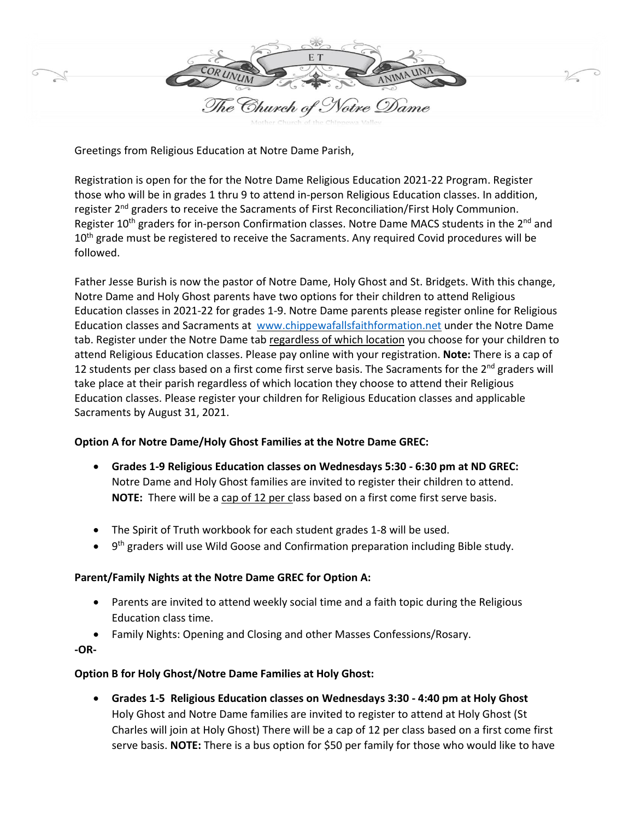

Greetings from Religious Education at Notre Dame Parish,

Registration is open for the for the Notre Dame Religious Education 2021-22 Program. Register those who will be in grades 1 thru 9 to attend in-person Religious Education classes. In addition, register 2<sup>nd</sup> graders to receive the Sacraments of First Reconciliation/First Holy Communion. Register 10<sup>th</sup> graders for in-person Confirmation classes. Notre Dame MACS students in the 2<sup>nd</sup> and 10<sup>th</sup> grade must be registered to receive the Sacraments. Any required Covid procedures will be followed.

Father Jesse Burish is now the pastor of Notre Dame, Holy Ghost and St. Bridgets. With this change, Notre Dame and Holy Ghost parents have two options for their children to attend Religious Education classes in 2021-22 for grades 1-9. Notre Dame parents please register online for Religious Education classes and Sacraments at [www.chippewafallsfaithformation.net](http://www.chippewafallsfaithformation.net/) under the Notre Dame tab. Register under the Notre Dame tab regardless of which location you choose for your children to attend Religious Education classes. Please pay online with your registration. **Note:** There is a cap of 12 students per class based on a first come first serve basis. The Sacraments for the 2<sup>nd</sup> graders will take place at their parish regardless of which location they choose to attend their Religious Education classes. Please register your children for Religious Education classes and applicable Sacraments by August 31, 2021.

## **Option A for Notre Dame/Holy Ghost Families at the Notre Dame GREC:**

- **Grades 1-9 Religious Education classes on Wednesdays 5:30 - 6:30 pm at ND GREC:** Notre Dame and Holy Ghost families are invited to register their children to attend. **NOTE:** There will be a cap of 12 per class based on a first come first serve basis.
- The Spirit of Truth workbook for each student grades 1-8 will be used.
- 9<sup>th</sup> graders will use Wild Goose and Confirmation preparation including Bible study.

## **Parent/Family Nights at the Notre Dame GREC for Option A:**

- Parents are invited to attend weekly social time and a faith topic during the Religious Education class time.
- Family Nights: Opening and Closing and other Masses Confessions/Rosary.
- **-OR-**

## **Option B for Holy Ghost/Notre Dame Families at Holy Ghost:**

• **Grades 1-5 Religious Education classes on Wednesdays 3:30 - 4:40 pm at Holy Ghost**  Holy Ghost and Notre Dame families are invited to register to attend at Holy Ghost (St Charles will join at Holy Ghost) There will be a cap of 12 per class based on a first come first serve basis. **NOTE:** There is a bus option for \$50 per family for those who would like to have